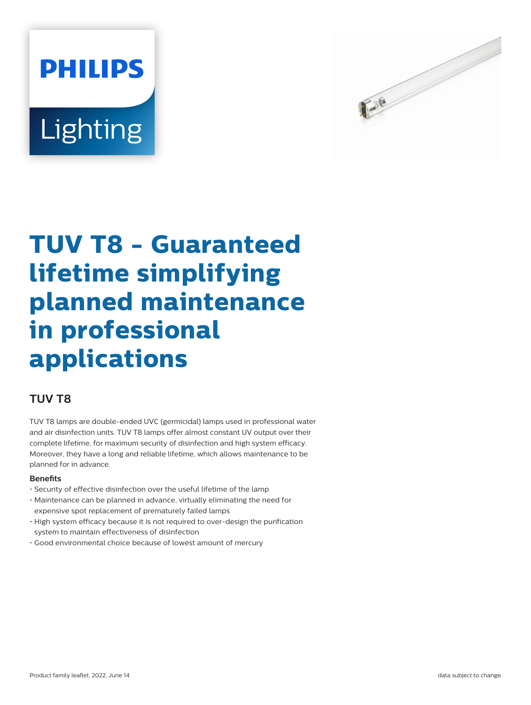# **PHILIPS** Lighting



## **TUV T8 - Guaranteed lifetime simplifying planned maintenance in professional applications**

### **TUV T8**

TUV T8 lamps are double-ended UVC (germicidal) lamps used in professional water and air disinfection units. TUV T8 lamps offer almost constant UV output over their complete lifetime, for maximum security of disinfection and high system efficacy. Moreover, they have a long and reliable lifetime, which allows maintenance to be planned for in advance.

#### **Benets**

- Security of effective disinfection over the useful lifetime of the lamp
- Maintenance can be planned in advance, virtually eliminating the need for expensive spot replacement of prematurely failed lamps
- High system efficacy because it is not required to over-design the purification system to maintain effectiveness of disinfection
- Good environmental choice because of lowest amount of mercury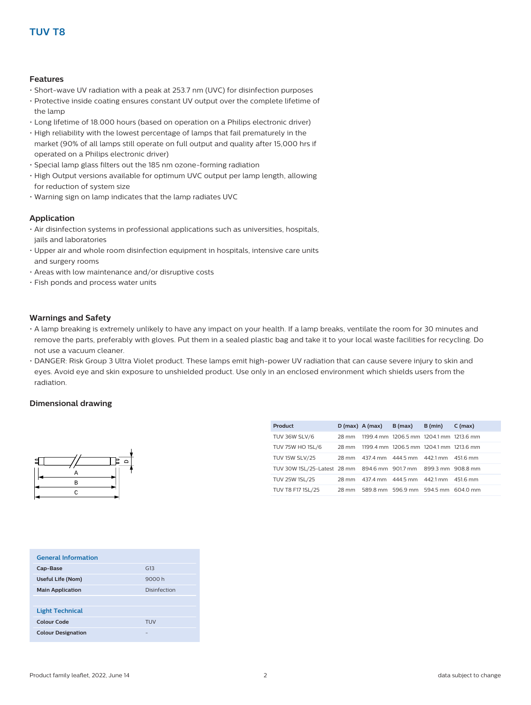#### **Features**

- Short-wave UV radiation with a peak at 253.7 nm (UVC) for disinfection purposes
- Protective inside coating ensures constant UV output over the complete lifetime of the lamp
- Long lifetime of 18.000 hours (based on operation on a Philips electronic driver)
- High reliability with the lowest percentage of lamps that fail prematurely in the market (90% of all lamps still operate on full output and quality after 15,000 hrs if operated on a Philips electronic driver)
- Special lamp glass filters out the 185 nm ozone-forming radiation
- High Output versions available for optimum UVC output per lamp length, allowing for reduction of system size
- Warning sign on lamp indicates that the lamp radiates UVC

#### **Application**

- Air disinfection systems in professional applications such as universities, hospitals, jails and laboratories
- Upper air and whole room disinfection equipment in hospitals, intensive care units and surgery rooms
- Areas with low maintenance and/or disruptive costs
- Fish ponds and process water units

#### **Warnings and Safety**

- A lamp breaking is extremely unlikely to have any impact on your health. If a lamp breaks, ventilate the room for 30 minutes and remove the parts, preferably with gloves. Put them in a sealed plastic bag and take it to your local waste facilities for recycling. Do not use a vacuum cleaner.
- DANGER: Risk Group 3 Ultra Violet product. These lamps emit high-power UV radiation that can cause severe injury to skin and eyes. Avoid eye and skin exposure to unshielded product. Use only in an enclosed environment which shields users from the radiation.

#### **Dimensional drawing**



| <b>Product</b>                                                  |  | $D(max)$ $A(max)$ $B(max)$ $B(min)$           | $C$ (max) |
|-----------------------------------------------------------------|--|-----------------------------------------------|-----------|
| <b>TUV 36W SLV/6</b>                                            |  | 28 mm 1199.4 mm 1206.5 mm 1204.1 mm 1213.6 mm |           |
| TUV 75W HO 1SL/6                                                |  | 28 mm 1199.4 mm 1206.5 mm 1204.1 mm 1213.6 mm |           |
| <b>TUV 15W SLV/25</b>                                           |  | 28 mm 437.4 mm 444.5 mm 442.1 mm 451.6 mm     |           |
| TUV 30W 1SL/25-Latest 28 mm 894.6 mm 901.7 mm 899.3 mm 908.8 mm |  |                                               |           |
| TUV 25W 1SL/25                                                  |  | 28 mm 437.4 mm 444.5 mm 442.1 mm 451.6 mm     |           |
| TUV T8 F17 1SL/25                                               |  | 28 mm 589.8 mm 596.9 mm 594.5 mm 604.0 mm     |           |

| <b>General Information</b> |              |
|----------------------------|--------------|
| Cap-Base                   | G13          |
| Useful Life (Nom)          | 9000 h       |
| <b>Main Application</b>    | Disinfection |
|                            |              |
| <b>Light Technical</b>     |              |
| Colour Code                | TUV          |
| <b>Colour Designation</b>  |              |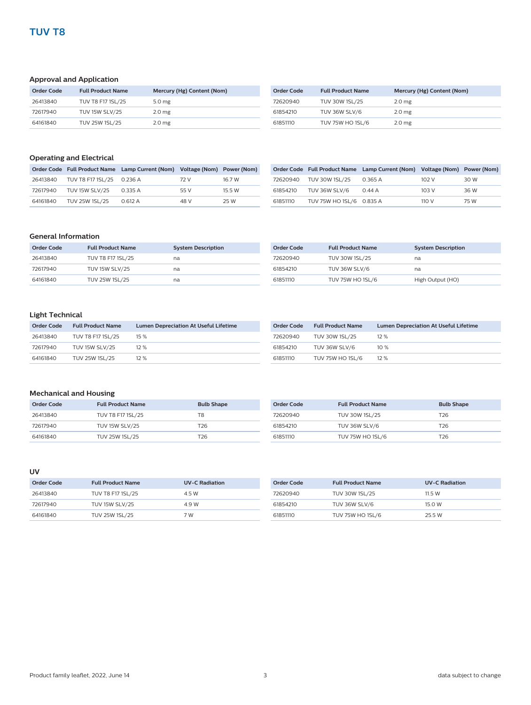#### **Approval and Application**

| <b>Order Code</b> | <b>Full Product Name</b> | Mercury (Hg) Content (Nom) | Order Code | <b>Full Product Name</b> | Mercury (Hg) Content (Nom) |
|-------------------|--------------------------|----------------------------|------------|--------------------------|----------------------------|
| 26413840          | TUV T8 F17 1SL/25        | 5.0 mg                     | 72620940   | TUV 30W 1SL/25           | 2.0 <sub>mg</sub>          |
| 72617940          | <b>TUV 15W SLV/25</b>    | 2.0 <sub>mg</sub>          | 61854210   | TUV 36W SLV/6            | 2.0 <sub>mg</sub>          |
| 64161840          | TUV 25W 1SL/25           | 2.0 <sub>mg</sub>          | 61851110   | <b>TUV 75W HO 1SL/6</b>  | 2.0 <sub>mg</sub>          |

#### **Operating and Electrical**

|          |                                    | Order Code Full Product Name Lamp Current (Nom) Voltage (Nom) Power (Nom) |      |        |
|----------|------------------------------------|---------------------------------------------------------------------------|------|--------|
|          | 26413840 TUV T8 F17 1SL/25 0.236 A |                                                                           | 72 V | 16.7 W |
| 72617940 | <b>TUV 15W SLV/25</b>              | 0.335 A                                                                   | 55 V | 15.5 W |
| 64161840 | TUV 25W 1SL/25                     | 0.612 A                                                                   | 48 V | 25 W   |

|          |                          | Order Code Full Product Name Lamp Current (Nom) Voltage (Nom) Power (Nom) |       |      |
|----------|--------------------------|---------------------------------------------------------------------------|-------|------|
| 72620940 | TUV 30W 1SL/25           | 0.365 A                                                                   | 102 V | 30 W |
| 61854210 | TUV 36W SLV/6            | 0.44 A                                                                    | 103V  | 36 W |
| 61851110 | TUV 75W HO 1SL/6 0.835 A |                                                                           | 110 V | 75 W |

#### **General Information**

| Order Code | <b>Full Product Name</b> | <b>System Description</b> |
|------------|--------------------------|---------------------------|
| 26413840   | TUV T8 F17 1SL/25        | na                        |
| 72617940   | <b>TUV 15W SLV/25</b>    | na                        |
| 64161840   | TUV 25W 1SL/25           | na                        |

| Order Code | <b>Full Product Name</b> | <b>System Description</b> |
|------------|--------------------------|---------------------------|
| 72620940   | TUV 30W 1SL/25           | na                        |
| 61854210   | TUV 36W SLV/6            | na                        |
| 61851110   | <b>TUV 75W HO 1SL/6</b>  | High Output (HO)          |

#### **Light Technical**

| Order Code | <b>Full Product Name</b> | <b>Lumen Depreciation At Useful Lifetime</b> | Ord |
|------------|--------------------------|----------------------------------------------|-----|
| 26413840   | TUV T8 F17 1SL/25        | 15 %                                         | 726 |
| 72617940   | <b>TUV 15W SLV/25</b>    | 12%                                          | 618 |
| 64161840   | TUV 25W 1SL/25           | 12%                                          | 618 |

| Order Code | <b>Full Product Name</b> | <b>Lumen Depreciation At Useful Lifetime</b> |
|------------|--------------------------|----------------------------------------------|
| 72620940   | TUV 30W 1SL/25           | 12%                                          |
| 61854210   | TUV 36W SLV/6            | $10\%$                                       |
| 61851110   | <b>TUV 75W HO 1SL/6</b>  | 12%                                          |

#### **Mechanical and Housing**

| Order Code | <b>Full Product Name</b> | <b>Bulb Shape</b> |
|------------|--------------------------|-------------------|
| 26413840   | TUV T8 F17 1SL/25        | T8                |
| 72617940   | <b>TUV 15W SLV/25</b>    | T26               |
| 64161840   | TUV 25W 1SL/25           | T2R               |

| Order Code | <b>Full Product Name</b> | <b>Bulb Shape</b> |
|------------|--------------------------|-------------------|
| 72620940   | TUV 30W 1SL/25           | T26.              |
| 61854210   | TUV 36W SLV/6            | T26.              |
| 61851110   | <b>TUV 75W HO 1SL/6</b>  | T26.              |

#### **UV**

| Order Code | <b>Full Product Name</b> | <b>UV-C Radiation</b> |
|------------|--------------------------|-----------------------|
| 26413840   | TUV T8 F17 1SL/25        | 4.5 W                 |
| 72617940   | <b>TUV 15W SLV/25</b>    | 4.9 W                 |
| 64161840   | TUV 25W 1SL/25           | 7 W                   |

| Order Code | <b>Full Product Name</b> | <b>UV-C Radiation</b> |
|------------|--------------------------|-----------------------|
| 72620940   | <b>TUV 30W 1SL/25</b>    | 11.5 W                |
| 61854210   | TUV 36W SLV/6            | 15.0 W                |
| 61851110   | <b>TUV 75W HO 1SL/6</b>  | 25.5 W                |